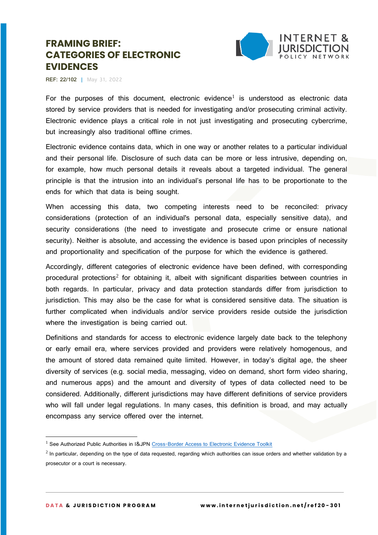

**REF: 22/102 |** May 31, 2022

For the purposes of this document, electronic evidence<sup>1</sup> is understood as electronic data stored by service providers that is needed for investigating and/or prosecuting criminal activity. Electronic evidence plays a critical role in not just investigating and prosecuting cybercrime, but increasingly also traditional offline crimes.

Electronic evidence contains data, which in one way or another relates to a particular individual and their personal life. Disclosure of such data can be more or less intrusive, depending on, for example, how much personal details it reveals about a targeted individual. The general principle is that the intrusion into an individual's personal life has to be proportionate to the ends for which that data is being sought.

When accessing this data, two competing interests need to be reconciled: privacy considerations (protection of an individual's personal data, especially sensitive data), and security considerations (the need to investigate and prosecute crime or ensure national security). Neither is absolute, and accessing the evidence is based upon principles of necessity and proportionality and specification of the purpose for which the evidence is gathered.

Accordingly, different categories of electronic evidence have been defined, with corresponding procedural protections<sup>2</sup> for obtaining it, albeit with significant disparities between countries in both regards. In particular, privacy and data protection standards differ from jurisdiction to jurisdiction. This may also be the case for what is considered sensitive data. The situation is further complicated when individuals and/or service providers reside outside the jurisdiction where the investigation is being carried out.

Definitions and standards for access to electronic evidence largely date back to the telephony or early email era, where services provided and providers were relatively homogenous, and the amount of stored data remained quite limited. However, in today's digital age, the sheer diversity of services (e.g. social media, messaging, video on demand, short form video sharing, and numerous apps) and the amount and diversity of types of data collected need to be considered. Additionally, different jurisdictions may have different definitions of service providers who will fall under legal regulations. In many cases, this definition is broad, and may actually encompass any service offered over the internet.

<sup>&</sup>lt;sup>1</sup> See Authorized Public Authorities in I&JPN [Cross-Border Access to Electronic Evidence Toolkit](https://www.internetjurisdiction.net/data/toolkit)

 $^2$  In particular, depending on the type of data requested, regarding which authorities can issue orders and whether validation by a prosecutor or a court is necessary.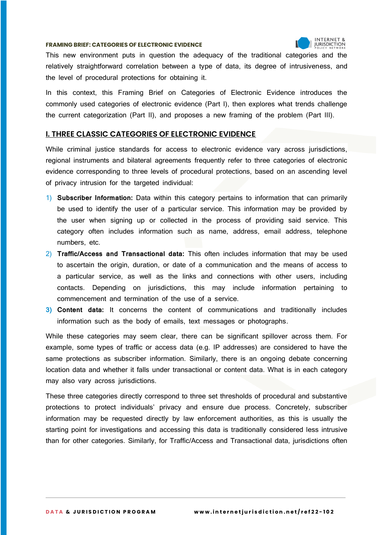

This new environment puts in question the adequacy of the traditional categories and the relatively straightforward correlation between a type of data, its degree of intrusiveness, and the level of procedural protections for obtaining it.

In this context, this Framing Brief on Categories of Electronic Evidence introduces the commonly used categories of electronic evidence (Part I), then explores what trends challenge the current categorization (Part II), and proposes a new framing of the problem (Part III).

## **I. THREE CLASSIC CATEGORIES OF ELECTRONIC EVIDENCE**

While criminal justice standards for access to electronic evidence vary across jurisdictions, regional instruments and bilateral agreements frequently refer to three categories of electronic evidence corresponding to three levels of procedural protections, based on an ascending level of privacy intrusion for the targeted individual:

- 1) **Subscriber Information:** Data within this category pertains to information that can primarily be used to identify the user of a particular service. This information may be provided by the user when signing up or collected in the process of providing said service. This category often includes information such as name, address, email address, telephone numbers, etc.
- 2) **Traffic/Access and Transactional data:** This often includes information that may be used to ascertain the origin, duration, or date of a communication and the means of access to a particular service, as well as the links and connections with other users, including contacts. Depending on jurisdictions, this may include information pertaining to commencement and termination of the use of a service.
- **3) Content data:** It concerns the content of communications and traditionally includes information such as the body of emails, text messages or photographs.

While these categories may seem clear, there can be significant spillover across them. For example, some types of traffic or access data (e.g. IP addresses) are considered to have the same protections as subscriber information. Similarly, there is an ongoing debate concerning location data and whether it falls under transactional or content data. What is in each category may also vary across jurisdictions.

These three categories directly correspond to three set thresholds of procedural and substantive protections to protect individuals' privacy and ensure due process. Concretely, subscriber information may be requested directly by law enforcement authorities, as this is usually the starting point for investigations and accessing this data is traditionally considered less intrusive than for other categories. Similarly, for Traffic/Access and Transactional data, jurisdictions often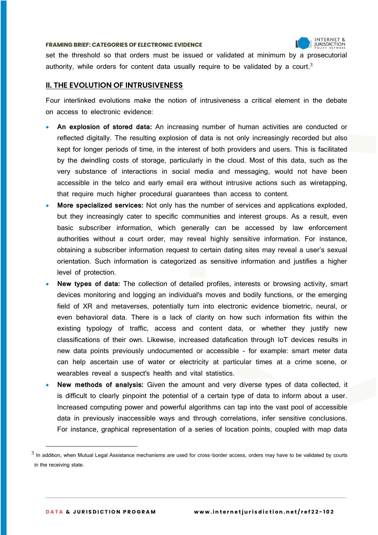

set the threshold so that orders must be issued or validated at minimum by a prosecutorial authority, while orders for content data usually require to be validated by a court.<sup>3</sup>

## **II. THE EVOLUTION OF INTRUSIVENESS**

Four interlinked evolutions make the notion of intrusiveness a critical element in the debate on access to electronic evidence:

- **An explosion of stored data:** An increasing number of human activities are conducted or reflected digitally. The resulting explosion of data is not only increasingly recorded but also kept for longer periods of time, in the interest of both providers and users. This is facilitated by the dwindling costs of storage, particularly in the cloud. Most of this data, such as the very substance of interactions in social media and messaging, would not have been accessible in the telco and early email era without intrusive actions such as wiretapping, that require much higher procedural guarantees than access to content.
- **More specialized services:** Not only has the number of services and applications exploded, but they increasingly cater to specific communities and interest groups. As a result, even basic subscriber information, which generally can be accessed by law enforcement authorities without a court order, may reveal highly sensitive information. For instance, obtaining a subscriber information request to certain dating sites may reveal a user's sexual orientation. Such information is categorized as sensitive information and justifies a higher level of protection.
- **New types of data:** The collection of detailed profiles, interests or browsing activity, smart devices monitoring and logging an individual's moves and bodily functions, or the emerging field of XR and metaverses, potentially turn into electronic evidence biometric, neural, or even behavioral data. There is a lack of clarity on how such information fits within the existing typology of traffic, access and content data, or whether they justify new classifications of their own. Likewise, increased datafication through IoT devices results in new data points previously undocumented or accessible - for example: smart meter data can help ascertain use of water or electricity at particular times at a crime scene, or wearables reveal a suspect's health and vital statistics.
- **New methods of analysis:** Given the amount and very diverse types of data collected, it is difficult to clearly pinpoint the potential of a certain type of data to inform about a user. Increased computing power and powerful algorithms can tap into the vast pool of accessible data in previously inaccessible ways and through correlations, infer sensitive conclusions. For instance, graphical representation of a series of location points, coupled with map data

 $^3$  In addition, when Mutual Legal Assistance mechanisms are used for cross-border access, orders may have to be validated by courts in the receiving state.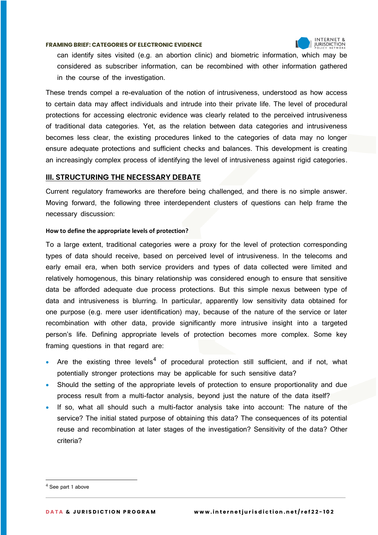

can identify sites visited (e.g. an abortion clinic) and biometric information, which may be considered as subscriber information, can be recombined with other information gathered in the course of the investigation.

These trends compel a re-evaluation of the notion of intrusiveness, understood as how access to certain data may affect individuals and intrude into their private life. The level of procedural protections for accessing electronic evidence was clearly related to the perceived intrusiveness of traditional data categories. Yet, as the relation between data categories and intrusiveness becomes less clear, the existing procedures linked to the categories of data may no longer ensure adequate protections and sufficient checks and balances. This development is creating an increasingly complex process of identifying the level of intrusiveness against rigid categories.

## **III. STRUCTURING THE NECESSARY DEBATE**

Current regulatory frameworks are therefore being challenged, and there is no simple answer. Moving forward, the following three interdependent clusters of questions can help frame the necessary discussion:

#### **How to define the appropriate levels of protection?**

To a large extent, traditional categories were a proxy for the level of protection corresponding types of data should receive, based on perceived level of intrusiveness. In the telecoms and early email era, when both service providers and types of data collected were limited and relatively homogenous, this binary relationship was considered enough to ensure that sensitive data be afforded adequate due process protections. But this simple nexus between type of data and intrusiveness is blurring. In particular, apparently low sensitivity data obtained for one purpose (e.g. mere user identification) may, because of the nature of the service or later recombination with other data, provide significantly more intrusive insight into a targeted person's life. Defining appropriate levels of protection becomes more complex. Some key framing questions in that regard are:

- Are the existing three levels<sup>4</sup> of procedural protection still sufficient, and if not, what potentially stronger protections may be applicable for such sensitive data?
- Should the setting of the appropriate levels of protection to ensure proportionality and due process result from a multi-factor analysis, beyond just the nature of the data itself?
- If so, what all should such a multi-factor analysis take into account: The nature of the service? The initial stated purpose of obtaining this data? The consequences of its potential reuse and recombination at later stages of the investigation? Sensitivity of the data? Other criteria?

 $<sup>4</sup>$  See part 1 above</sup>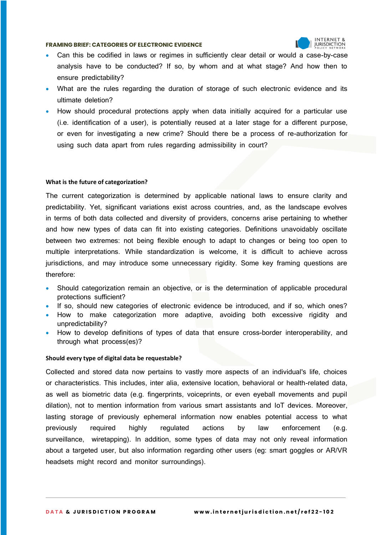

- Can this be codified in laws or regimes in sufficiently clear detail or would a case-by-case analysis have to be conducted? If so, by whom and at what stage? And how then to ensure predictability?
- What are the rules regarding the duration of storage of such electronic evidence and its ultimate deletion?
- How should procedural protections apply when data initially acquired for a particular use (i.e. identification of a user), is potentially reused at a later stage for a different purpose, or even for investigating a new crime? Should there be a process of re-authorization for using such data apart from rules regarding admissibility in court?

#### **What is the future of categorization?**

The current categorization is determined by applicable national laws to ensure clarity and predictability. Yet, significant variations exist across countries, and, as the landscape evolves in terms of both data collected and diversity of providers, concerns arise pertaining to whether and how new types of data can fit into existing categories. Definitions unavoidably oscillate between two extremes: not being flexible enough to adapt to changes or being too open to multiple interpretations. While standardization is welcome, it is difficult to achieve across jurisdictions, and may introduce some unnecessary rigidity. Some key framing questions are therefore:

- Should categorization remain an objective, or is the determination of applicable procedural protections sufficient?
- If so, should new categories of electronic evidence be introduced, and if so, which ones?
- How to make categorization more adaptive, avoiding both excessive rigidity and unpredictability?
- How to develop definitions of types of data that ensure cross-border interoperability, and through what process(es)?

#### **Should every type of digital data be requestable?**

Collected and stored data now pertains to vastly more aspects of an individual's life, choices or characteristics. This includes, inter alia, extensive location, behavioral or health-related data, as well as biometric data (e.g. fingerprints, voiceprints, or even eyeball movements and pupil dilation), not to mention information from various smart assistants and IoT devices. Moreover, lasting storage of previously ephemeral information now enables potential access to what previously required highly regulated actions by law enforcement (e.g. surveillance, wiretapping). In addition, some types of data may not only reveal information about a targeted user, but also information regarding other users (eg: smart goggles or AR/VR headsets might record and monitor surroundings).